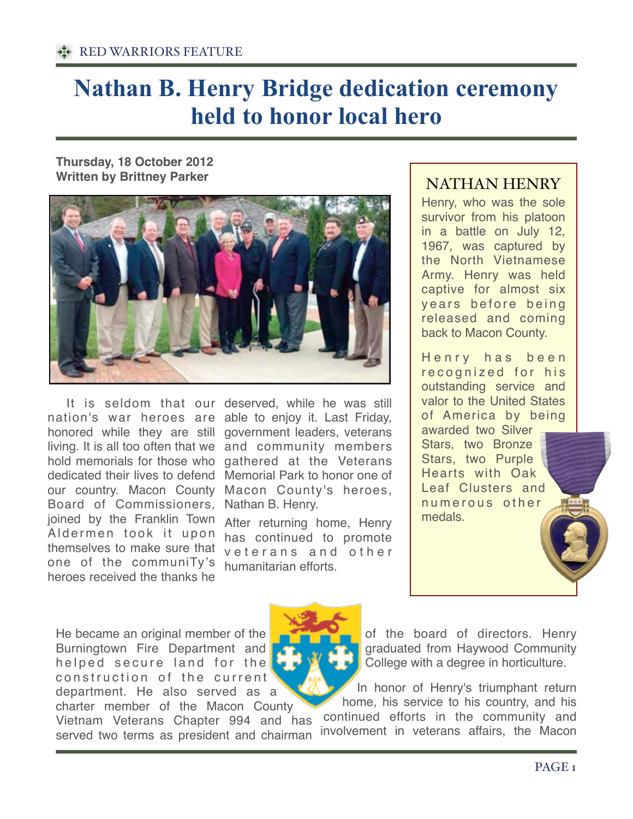## **[Nathan B. Henry Bridge dedication ceremony](http://www.maconnews.com/news/community/3797-nathan-b-henry-bridge-dedication-ceremony-held-to-honor-local-hero)  [held to honor local hero](http://www.maconnews.com/news/community/3797-nathan-b-henry-bridge-dedication-ceremony-held-to-honor-local-hero)**

**Thursday, 18 October 2012 Written by Brittney Parker** 



Board of Commissioners, joined by the Franklin Town Aldermen took it upon themselves to make sure that one of the communiTy's heroes received the thanks he

It is seldom that our deserved, while he was still nation's war heroes are able to enjoy it. Last Friday, honored while they are still government leaders, veterans living. It is all too often that we and community members hold memorials for those who gathered at the Veterans dedicated their lives to defend Memorial Park to honor one of our country. Macon County Macon County's heroes, Nathan B. Henry.

> After returning home, Henry has continued to promote veterans and other humanitarian efforts.

## NATHAN HENRY

Henry, who was the sole survivor from his platoon in a battle on July 12, 1967, was captured by the North Vietnamese Army. Henry was held captive for almost six y ears before being released and coming back to Macon County.

Henry has been recognized for his outstanding service and valor to the United States of America by being awarded two Silver Stars, two Bronze Stars, two Purple Hearts with Oak Leaf Clusters and numerous other medals.

He became an original member of the Burningtown Fire Department and helped secure land for the construction of the current department. He also served as a charter member of the Macon County

Vietnam Veterans Chapter 994 and has served two terms as president and chairman



of the board of directors. Henry graduated from Haywood Community College with a degree in horticulture.

In honor of Henry's triumphant return home, his service to his country, and his continued efforts in the community and involvement in veterans affairs, the Macon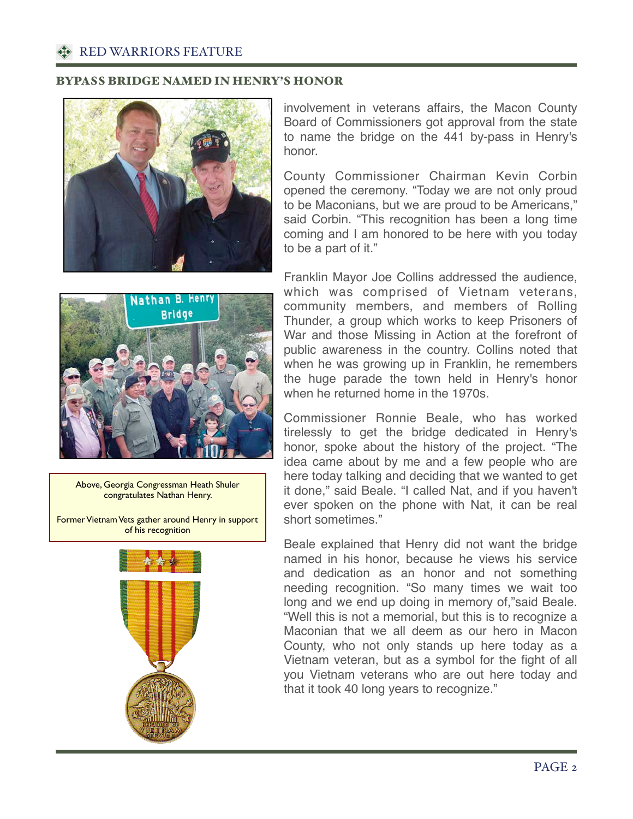RED WARRIORS FEATURE

## BYPASS BRIDGE NAMED IN HENRY'S HONOR



involvement in veterans affairs, the Macon County Board of Commissioners got approval from the state to name the bridge on the 441 by-pass in Henry's honor.

County Commissioner Chairman Kevin Corbin opened the ceremony. "Today we are not only proud to be Maconians, but we are proud to be Americans," said Corbin. "This recognition has been a long time coming and I am honored to be here with you today to be a part of it."

![](_page_1_Picture_5.jpeg)

Above, Georgia Congressman Heath Shuler congratulates Nathan Henry.

Former Vietnam Vets gather around Henry in support of his recognition

![](_page_1_Figure_8.jpeg)

Franklin Mayor Joe Collins addressed the audience, which was comprised of Vietnam veterans, community members, and members of Rolling Thunder, a group which works to keep Prisoners of War and those Missing in Action at the forefront of public awareness in the country. Collins noted that when he was growing up in Franklin, he remembers the huge parade the town held in Henry's honor when he returned home in the 1970s.

Commissioner Ronnie Beale, who has worked tirelessly to get the bridge dedicated in Henry's honor, spoke about the history of the project. "The idea came about by me and a few people who are here today talking and deciding that we wanted to get it done," said Beale. "I called Nat, and if you haven't ever spoken on the phone with Nat, it can be real short sometimes."

Beale explained that Henry did not want the bridge named in his honor, because he views his service and dedication as an honor and not something needing recognition. "So many times we wait too long and we end up doing in memory of,"said Beale. "Well this is not a memorial, but this is to recognize a Maconian that we all deem as our hero in Macon County, who not only stands up here today as a Vietnam veteran, but as a symbol for the fight of all you Vietnam veterans who are out here today and that it took 40 long years to recognize."